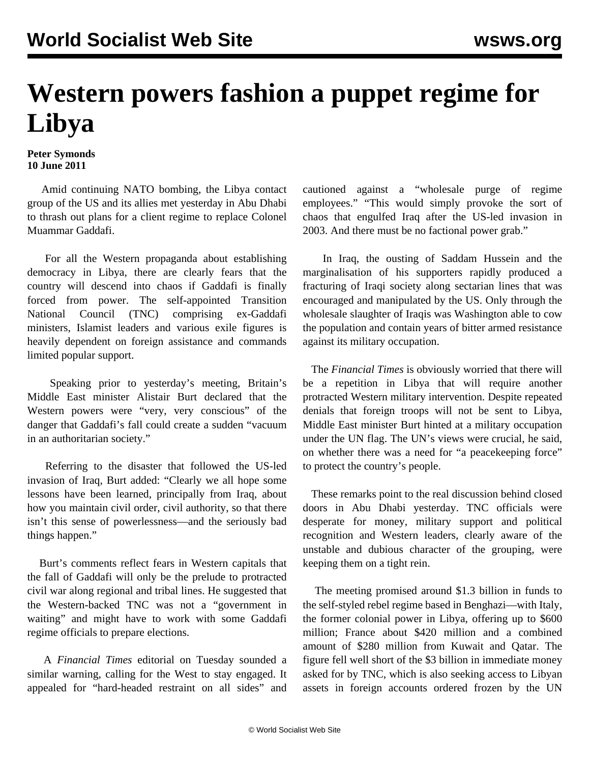## **Western powers fashion a puppet regime for Libya**

## **Peter Symonds 10 June 2011**

 Amid continuing NATO bombing, the Libya contact group of the US and its allies met yesterday in Abu Dhabi to thrash out plans for a client regime to replace Colonel Muammar Gaddafi.

 For all the Western propaganda about establishing democracy in Libya, there are clearly fears that the country will descend into chaos if Gaddafi is finally forced from power. The self-appointed Transition National Council (TNC) comprising ex-Gaddafi ministers, Islamist leaders and various exile figures is heavily dependent on foreign assistance and commands limited popular support.

 Speaking prior to yesterday's meeting, Britain's Middle East minister Alistair Burt declared that the Western powers were "very, very conscious" of the danger that Gaddafi's fall could create a sudden "vacuum in an authoritarian society."

 Referring to the disaster that followed the US-led invasion of Iraq, Burt added: "Clearly we all hope some lessons have been learned, principally from Iraq, about how you maintain civil order, civil authority, so that there isn't this sense of powerlessness—and the seriously bad things happen."

 Burt's comments reflect fears in Western capitals that the fall of Gaddafi will only be the prelude to protracted civil war along regional and tribal lines. He suggested that the Western-backed TNC was not a "government in waiting" and might have to work with some Gaddafi regime officials to prepare elections.

 A *Financial Times* editorial on Tuesday sounded a similar warning, calling for the West to stay engaged. It appealed for "hard-headed restraint on all sides" and cautioned against a "wholesale purge of regime employees." "This would simply provoke the sort of chaos that engulfed Iraq after the US-led invasion in 2003. And there must be no factional power grab."

 In Iraq, the ousting of Saddam Hussein and the marginalisation of his supporters rapidly produced a fracturing of Iraqi society along sectarian lines that was encouraged and manipulated by the US. Only through the wholesale slaughter of Iraqis was Washington able to cow the population and contain years of bitter armed resistance against its military occupation.

 The *Financial Times* is obviously worried that there will be a repetition in Libya that will require another protracted Western military intervention. Despite repeated denials that foreign troops will not be sent to Libya, Middle East minister Burt hinted at a military occupation under the UN flag. The UN's views were crucial, he said, on whether there was a need for "a peacekeeping force" to protect the country's people.

 These remarks point to the real discussion behind closed doors in Abu Dhabi yesterday. TNC officials were desperate for money, military support and political recognition and Western leaders, clearly aware of the unstable and dubious character of the grouping, were keeping them on a tight rein.

 The meeting promised around \$1.3 billion in funds to the self-styled rebel regime based in Benghazi—with Italy, the former colonial power in Libya, offering up to \$600 million; France about \$420 million and a combined amount of \$280 million from Kuwait and Qatar. The figure fell well short of the \$3 billion in immediate money asked for by TNC, which is also seeking access to Libyan assets in foreign accounts ordered frozen by the UN